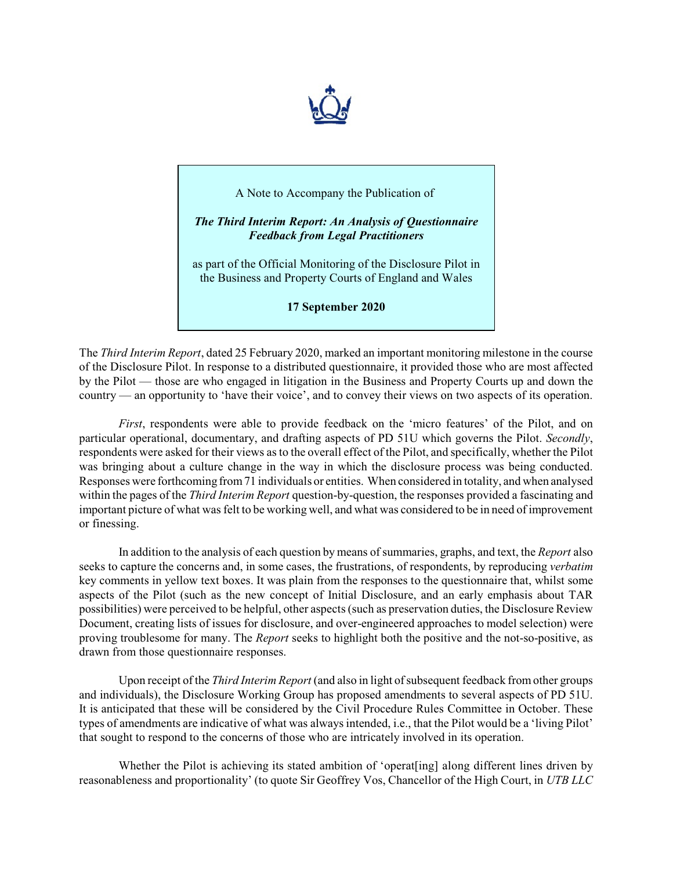

## A Note to Accompany the Publication of

*The Third Interim Report: An Analysis of Questionnaire Feedback from Legal Practitioners*

as part of the Official Monitoring of the Disclosure Pilot in the Business and Property Courts of England and Wales

**17 September 2020**

The *Third Interim Report*, dated 25 February 2020, marked an important monitoring milestone in the course of the Disclosure Pilot. In response to a distributed questionnaire, it provided those who are most affected by the Pilot — those are who engaged in litigation in the Business and Property Courts up and down the country — an opportunity to 'have their voice', and to convey their views on two aspects of its operation.

*First*, respondents were able to provide feedback on the 'micro features' of the Pilot, and on particular operational, documentary, and drafting aspects of PD 51U which governs the Pilot. *Secondly*, respondents were asked for their views as to the overall effect of the Pilot, and specifically, whether the Pilot was bringing about a culture change in the way in which the disclosure process was being conducted. Responses were forthcoming from71 individuals or entities. When considered in totality, and when analysed within the pages of the *Third Interim Report* question-by-question, the responses provided a fascinating and important picture of what was felt to be working well, and what was considered to be in need of improvement or finessing.

In addition to the analysis of each question by means ofsummaries, graphs, and text, the *Report* also seeks to capture the concerns and, in some cases, the frustrations, of respondents, by reproducing *verbatim* key comments in yellow text boxes. It was plain from the responses to the questionnaire that, whilst some aspects of the Pilot (such as the new concept of Initial Disclosure, and an early emphasis about TAR possibilities) were perceived to be helpful, other aspects (such as preservation duties, the Disclosure Review Document, creating lists of issues for disclosure, and over-engineered approaches to model selection) were proving troublesome for many. The *Report* seeks to highlight both the positive and the not-so-positive, as drawn from those questionnaire responses.

Upon receipt of the *Third Interim Report* (and also in light of subsequent feedback from other groups and individuals), the Disclosure Working Group has proposed amendments to several aspects of PD 51U. It is anticipated that these will be considered by the Civil Procedure Rules Committee in October. These types of amendments are indicative of what was always intended, i.e., that the Pilot would be a 'living Pilot' that sought to respond to the concerns of those who are intricately involved in its operation.

Whether the Pilot is achieving its stated ambition of 'operat[ing] along different lines driven by reasonableness and proportionality' (to quote Sir Geoffrey Vos, Chancellor of the High Court, in *UTB LLC*